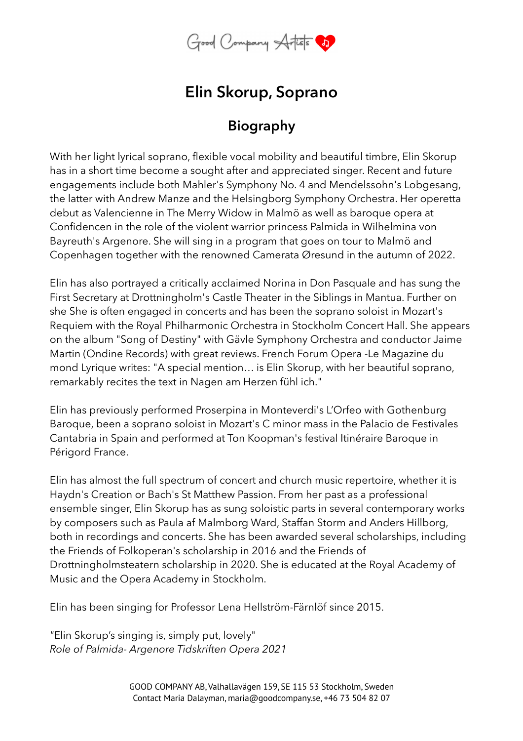

## **Elin Skorup, Soprano**

## **Biography**

With her light lyrical soprano, flexible vocal mobility and beautiful timbre, Elin Skorup has in a short time become a sought after and appreciated singer. Recent and future engagements include both Mahler's Symphony No. 4 and Mendelssohn's Lobgesang, the latter with Andrew Manze and the Helsingborg Symphony Orchestra. Her operetta debut as Valencienne in The Merry Widow in Malmö as well as baroque opera at Confidencen in the role of the violent warrior princess Palmida in Wilhelmina von Bayreuth's Argenore. She will sing in a program that goes on tour to Malmö and Copenhagen together with the renowned Camerata Øresund in the autumn of 2022.

Elin has also portrayed a critically acclaimed Norina in Don Pasquale and has sung the First Secretary at Drottningholm's Castle Theater in the Siblings in Mantua. Further on she She is often engaged in concerts and has been the soprano soloist in Mozart's Requiem with the Royal Philharmonic Orchestra in Stockholm Concert Hall. She appears on the album "Song of Destiny" with Gävle Symphony Orchestra and conductor Jaime Martin (Ondine Records) with great reviews. French Forum Opera -Le Magazine du mond Lyrique writes: "A special mention… is Elin Skorup, with her beautiful soprano, remarkably recites the text in Nagen am Herzen fühl ich."

Elin has previously performed Proserpina in Monteverdi's L'Orfeo with Gothenburg Baroque, been a soprano soloist in Mozart's C minor mass in the Palacio de Festivales Cantabria in Spain and performed at Ton Koopman's festival Itinéraire Baroque in Périgord France.

Elin has almost the full spectrum of concert and church music repertoire, whether it is Haydn's Creation or Bach's St Matthew Passion. From her past as a professional ensemble singer, Elin Skorup has as sung soloistic parts in several contemporary works by composers such as Paula af Malmborg Ward, Staffan Storm and Anders Hillborg, both in recordings and concerts. She has been awarded several scholarships, including the Friends of Folkoperan's scholarship in 2016 and the Friends of Drottningholmsteatern scholarship in 2020. She is educated at the Royal Academy of Music and the Opera Academy in Stockholm.

Elin has been singing for Professor Lena Hellström-Färnlöf since 2015.

*"*Elin Skorup's singing is, simply put, lovely" *Role of Palmida- Argenore Tidskriften Opera 2021*

> GOOD COMPANY AB, Valhallavägen 159, SE 115 53 Stockholm, Sweden Contact Maria Dalayman, maria@goodcompany.se, +46 73 504 82 07